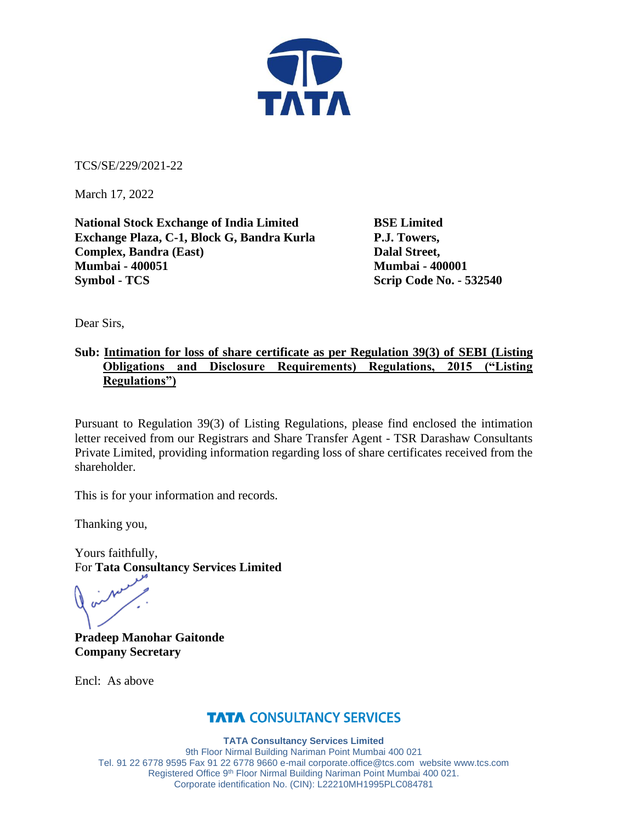

TCS/SE/229/2021-22

March 17, 2022

**National Stock Exchange of India Limited BSE Limited Exchange Plaza, C-1, Block G, Bandra Kurla P.J. Towers, Complex, Bandra (East)** Dalal Street, **Mumbai - 400051 Mumbai - 400001 Symbol - TCS Scrip Code No. - 532540** 

Dear Sirs,

# **Sub: Intimation for loss of share certificate as per Regulation 39(3) of SEBI (Listing Obligations and Disclosure Requirements) Regulations, 2015 ("Listing Regulations")**

Pursuant to Regulation 39(3) of Listing Regulations, please find enclosed the intimation letter received from our Registrars and Share Transfer Agent - TSR Darashaw Consultants Private Limited, providing information regarding loss of share certificates received from the shareholder.

This is for your information and records.

Thanking you,

Yours faithfully, For **Tata Consultancy Services Limited**

**Pradeep Manohar Gaitonde Company Secretary**

Encl: As above

# **TATA CONSULTANCY SERVICES**

**TATA Consultancy Services Limited** 9th Floor Nirmal Building Nariman Point Mumbai 400 021 Tel. 91 22 6778 9595 Fax 91 22 6778 9660 e-mail [corporate.office@tcs.com](mailto:corporate.office@tcs.com) website www.tcs.com Registered Office 9<sup>th</sup> Floor Nirmal Building Nariman Point Mumbai 400 021. Corporate identification No. (CIN): L22210MH1995PLC084781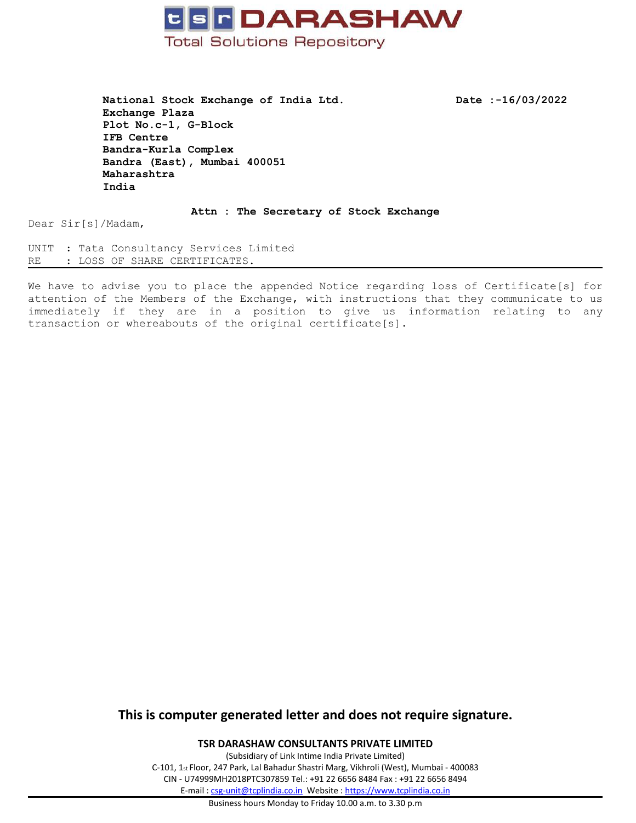

**National Stock Exchange of India Ltd. Date :-16/03/2022 Exchange Plaza Plot No.c-1, G-Block IFB Centre Bandra-Kurla Complex Bandra (East), Mumbai 400051 Maharashtra India**

#### **Attn : The Secretary of Stock Exchange**

Dear Sir[s]/Madam,

UNIT : Tata Consultancy Services Limited RE : LOSS OF SHARE CERTIFICATES.

We have to advise you to place the appended Notice regarding loss of Certificate[s] for attention of the Members of the Exchange, with instructions that they communicate to us immediately if they are in <sup>a</sup> position to give us information relating to any transaction or whereabouts of the original certificate[s].

### **This is computer generated letter and does not require signature.**

**TSR DARASHAW CONSULTANTS PRIVATE LIMITED**

(Subsidiary of Link Intime India Private Limited) C-101, 1st Floor, 247 Park, Lal Bahadur Shastri Marg, Vikhroli (West), Mumbai - 400083 CIN - U74999MH2018PTC307859 Tel.: +91 22 6656 8484 Fax : +91 22 6656 8494 E-mail : [csg-unit@tcplindia.co.in](mailto:csg-unit@tcplindia.co.in) Website : <https://www.tcplindia.co.in>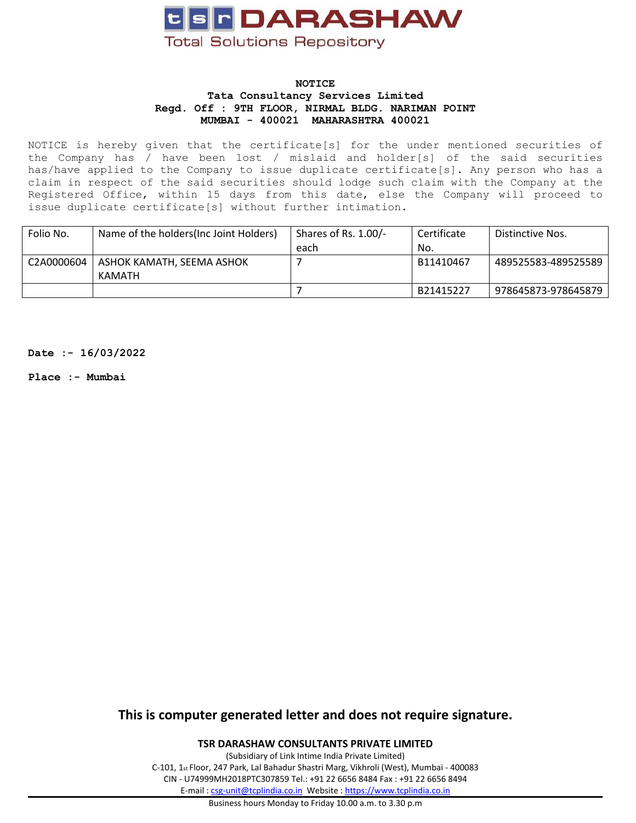

### **NOTICE Tata Consultancy Services Limited Regd. Off : 9TH FLOOR, NIRMAL BLDG. NARIMAN POINT MUMBAI - 400021 MAHARASHTRA 400021**

NOTICE is hereby given that the certificate[s] for the under mentioned securities of the Company has / have been lost / mislaid and holder[s] of the said securities has/have applied to the Company to issue duplicate certificate[s]. Any person who has <sup>a</sup> claim in respect of the said securities should lodge such claim with the Company at the Registered Office, within 15 days from this date, else the Company will proceed to issue duplicate certificate[s] without further intimation.

| Folio No.  | Name of the holders (Inc Joint Holders) | Shares of Rs. 1.00/- | Certificate | Distinctive Nos.    |
|------------|-----------------------------------------|----------------------|-------------|---------------------|
|            |                                         | each                 | No.         |                     |
| C2A0000604 | ASHOK KAMATH, SEEMA ASHOK               |                      | B11410467   | 489525583-489525589 |
|            | KAMATH                                  |                      |             |                     |
|            |                                         |                      | B21415227   | 978645873-978645879 |

**Date :- 16/03/2022**

**Place :- Mumbai**

**This is computer generated letter and does not require signature.**

**TSR DARASHAW CONSULTANTS PRIVATE LIMITED**

(Subsidiary of Link Intime India Private Limited) C-101, 1st Floor, 247 Park, Lal Bahadur Shastri Marg, Vikhroli (West), Mumbai - 400083 CIN - U74999MH2018PTC307859 Tel.: +91 22 6656 8484 Fax : +91 22 6656 8494 E-mail : [csg-unit@tcplindia.co.in](mailto:csg-unit@tcplindia.co.in) Website : <https://www.tcplindia.co.in>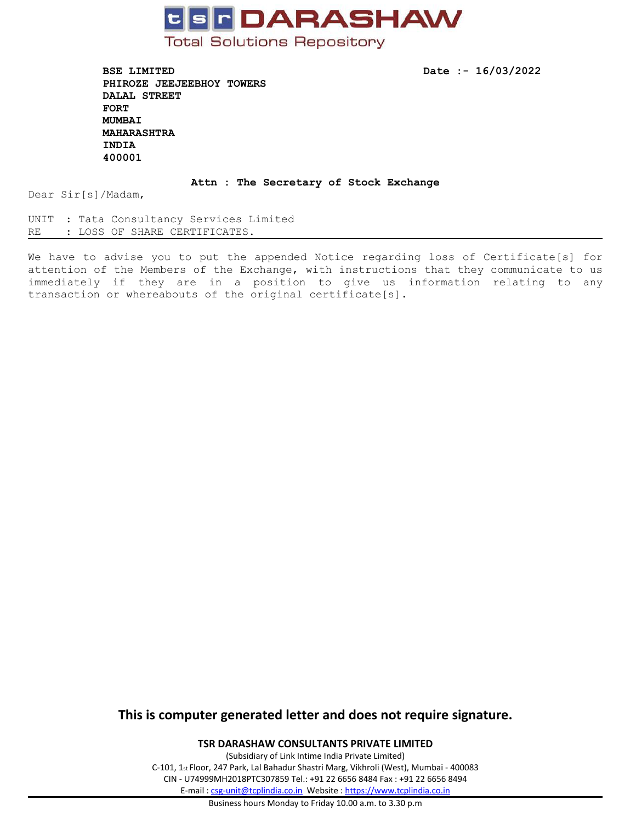

**BSE LIMITED Date :- 16/03/2022 PHIROZE JEEJEEBHOY TOWERS DALAL STREET FORT MUMBAI MAHARASHTRA INDIA 400001**

#### **Attn : The Secretary of Stock Exchange**

Dear Sir[s]/Madam,

UNIT : Tata Consultancy Services Limited RE : LOSS OF SHARE CERTIFICATES.

We have to advise you to put the appended Notice regarding loss of Certificate[s] for attention of the Members of the Exchange, with instructions that they communicate to us immediately if they are in <sup>a</sup> position to give us information relating to any transaction or whereabouts of the original certificate[s].

# **This is computer generated letter and does not require signature.**

**TSR DARASHAW CONSULTANTS PRIVATE LIMITED**

(Subsidiary of Link Intime India Private Limited) C-101, 1st Floor, 247 Park, Lal Bahadur Shastri Marg, Vikhroli (West), Mumbai - 400083 CIN - U74999MH2018PTC307859 Tel.: +91 22 6656 8484 Fax : +91 22 6656 8494 E-mail : [csg-unit@tcplindia.co.in](mailto:csg-unit@tcplindia.co.in) Website : <https://www.tcplindia.co.in>